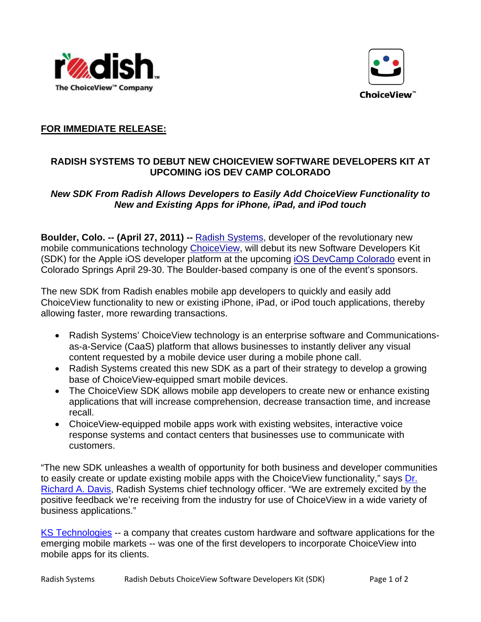



## **FOR IMMEDIATE RELEASE:**

## **RADISH SYSTEMS TO DEBUT NEW CHOICEVIEW SOFTWARE DEVELOPERS KIT AT UPCOMING iOS DEV CAMP COLORADO**

## *New SDK From Radish Allows Developers to Easily Add ChoiceView Functionality to New and Existing Apps for iPhone, iPad, and iPod touch*

**Boulder, Colo. -- (April 27, 2011) --** [Radish Systems](http://www.radishsystems.com/), developer of the revolutionary new mobile communications technology [ChoiceView](http://www.radishsystems.com/products/), will debut its new Software Developers Kit (SDK) for the Apple iOS developer platform at the upcoming [iOS DevCamp Colorado](http://iosdevcampcolorado.com/iosdevcamp-cos-2011) event in Colorado Springs April 29-30. The Boulder-based company is one of the event's sponsors.

The new SDK from Radish enables mobile app developers to quickly and easily add ChoiceView functionality to new or existing iPhone, iPad, or iPod touch applications, thereby allowing faster, more rewarding transactions.

- Radish Systems' ChoiceView technology is an enterprise software and Communicationsas-a-Service (CaaS) platform that allows businesses to instantly deliver any visual content requested by a mobile device user during a mobile phone call.
- Radish Systems created this new SDK as a part of their strategy to develop a growing base of ChoiceView-equipped smart mobile devices.
- The ChoiceView SDK allows mobile app developers to create new or enhance existing applications that will increase comprehension, decrease transaction time, and increase recall.
- ChoiceView-equipped mobile apps work with existing websites, interactive voice response systems and contact centers that businesses use to communicate with customers.

"The new SDK unleashes a wealth of opportunity for both business and developer communities to easily create or update existing mobile apps with the ChoiceView functionality," says [Dr.](http://www.radishsystems.com/company/leadership/)  [Richard A. Davis](http://www.radishsystems.com/company/leadership/), Radish Systems chief technology officer. "We are extremely excited by the positive feedback we're receiving from the industry for use of ChoiceView in a wide variety of business applications."

[KS Technologies](http://kstechnologies.com/) -- a company that creates custom hardware and software applications for the emerging mobile markets -- was one of the first developers to incorporate ChoiceView into mobile apps for its clients.